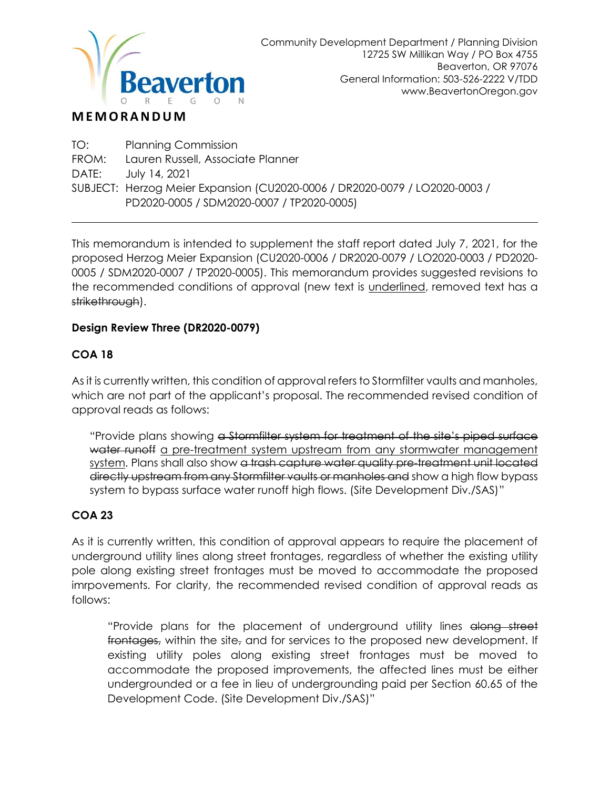

# **M E M O R A N D U M**

TO: Planning Commission FROM: Lauren Russell, Associate Planner DATE: July 14, 2021 SUBJECT: Herzog Meier Expansion (CU2020-0006 / DR2020-0079 / LO2020-0003 / PD2020-0005 / SDM2020-0007 / TP2020-0005)

This memorandum is intended to supplement the staff report dated July 7, 2021, for the proposed Herzog Meier Expansion (CU2020-0006 / DR2020-0079 / LO2020-0003 / PD2020- 0005 / SDM2020-0007 / TP2020-0005). This memorandum provides suggested revisions to the recommended conditions of approval (new text is *underlined*, removed text has a strikethrough).

#### **Design Review Three (DR2020-0079)**

## **COA 18**

As it is currently written, this condition of approval refers to Stormfilter vaults and manholes, which are not part of the applicant's proposal. The recommended revised condition of approval reads as follows:

"Provide plans showing a Stormfilter system for treatment of the site's piped surface water runoff a pre-treatment system upstream from any stormwater management system. Plans shall also show a trash capture water quality pre-treatment unit located directly upstream from any Stormfilter vaults or manholes and show a high flow bypass system to bypass surface water runoff high flows. (Site Development Div./SAS)"

## **COA 23**

As it is currently written, this condition of approval appears to require the placement of underground utility lines along street frontages, regardless of whether the existing utility pole along existing street frontages must be moved to accommodate the proposed imrpovements. For clarity, the recommended revised condition of approval reads as follows:

"Provide plans for the placement of underground utility lines along street frontages, within the site, and for services to the proposed new development. If existing utility poles along existing street frontages must be moved to accommodate the proposed improvements, the affected lines must be either undergrounded or a fee in lieu of undergrounding paid per Section 60.65 of the Development Code. (Site Development Div./SAS)"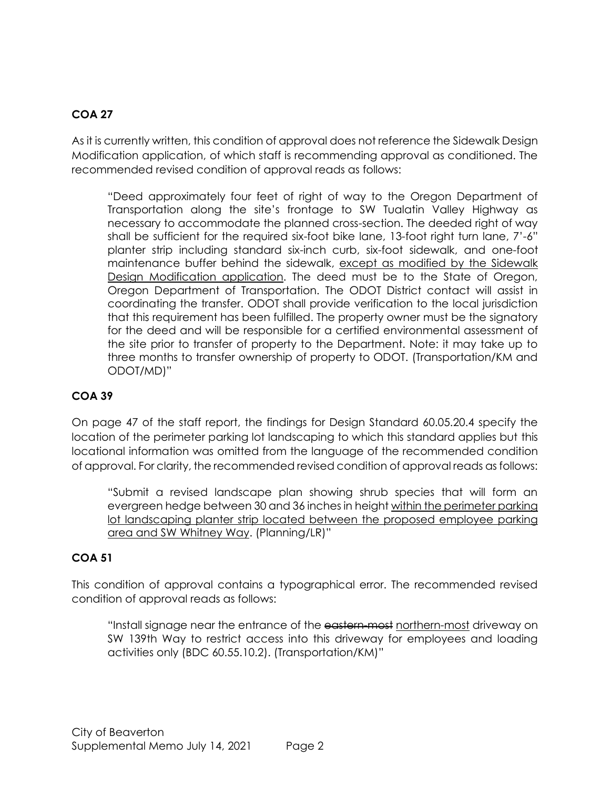## **COA 27**

As it is currently written, this condition of approval does not reference the Sidewalk Design Modification application, of which staff is recommending approval as conditioned. The recommended revised condition of approval reads as follows:

"Deed approximately four feet of right of way to the Oregon Department of Transportation along the site's frontage to SW Tualatin Valley Highway as necessary to accommodate the planned cross-section. The deeded right of way shall be sufficient for the required six-foot bike lane, 13-foot right turn lane, 7'-6" planter strip including standard six-inch curb, six-foot sidewalk, and one-foot maintenance buffer behind the sidewalk, except as modified by the Sidewalk Design Modification application. The deed must be to the State of Oregon, Oregon Department of Transportation. The ODOT District contact will assist in coordinating the transfer. ODOT shall provide verification to the local jurisdiction that this requirement has been fulfilled. The property owner must be the signatory for the deed and will be responsible for a certified environmental assessment of the site prior to transfer of property to the Department. Note: it may take up to three months to transfer ownership of property to ODOT. (Transportation/KM and ODOT/MD)"

## **COA 39**

On page 47 of the staff report, the findings for Design Standard 60.05.20.4 specify the location of the perimeter parking lot landscaping to which this standard applies but this locational information was omitted from the language of the recommended condition of approval. For clarity, the recommended revised condition of approval reads as follows:

"Submit a revised landscape plan showing shrub species that will form an evergreen hedge between 30 and 36 inches in height within the perimeter parking lot landscaping planter strip located between the proposed employee parking area and SW Whitney Way. (Planning/LR)"

#### **COA 51**

This condition of approval contains a typographical error. The recommended revised condition of approval reads as follows:

"Install signage near the entrance of the eastern-most northern-most driveway on SW 139th Way to restrict access into this driveway for employees and loading activities only (BDC 60.55.10.2). (Transportation/KM)"